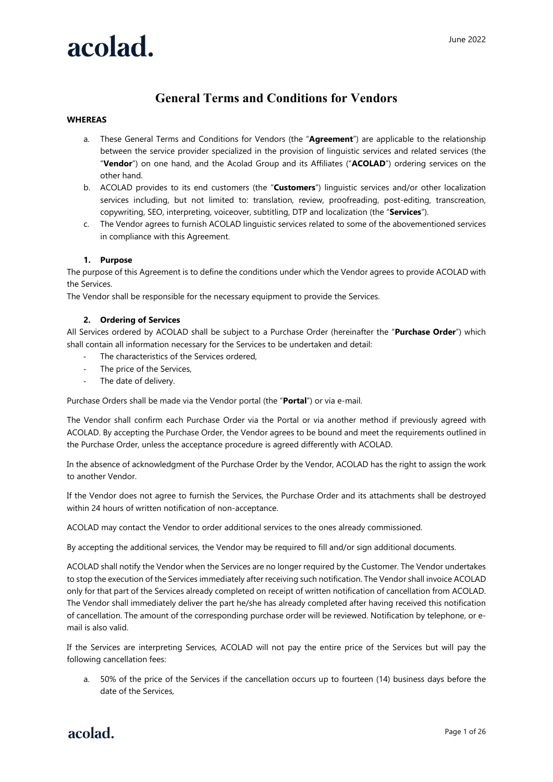# **General Terms and Conditions for Vendors**

### **WHEREAS**

- a. These General Terms and Conditions for Vendors (the "**Agreement**") are applicable to the relationship between the service provider specialized in the provision of linguistic services and related services (the "**Vendor**") on one hand, and the Acolad Group and its Affiliates ("**ACOLAD**") ordering services on the other hand.
- b. ACOLAD provides to its end customers (the "**Customers**") linguistic services and/or other localization services including, but not limited to: translation, review, proofreading, post-editing, transcreation, copywriting, SEO, interpreting, voiceover, subtitling, DTP and localization (the "**Services**").
- c. The Vendor agrees to furnish ACOLAD linguistic services related to some of the abovementioned services in compliance with this Agreement.

### **1. Purpose**

The purpose of this Agreement is to define the conditions under which the Vendor agrees to provide ACOLAD with the Services.

The Vendor shall be responsible for the necessary equipment to provide the Services.

#### **2. Ordering of Services**

All Services ordered by ACOLAD shall be subject to a Purchase Order (hereinafter the "**Purchase Order**") which shall contain all information necessary for the Services to be undertaken and detail:

- The characteristics of the Services ordered,
- The price of the Services,
- The date of delivery.

Purchase Orders shall be made via the Vendor portal (the "**Portal**") or via e-mail.

The Vendor shall confirm each Purchase Order via the Portal or via another method if previously agreed with ACOLAD. By accepting the Purchase Order, the Vendor agrees to be bound and meet the requirements outlined in the Purchase Order, unless the acceptance procedure is agreed differently with ACOLAD.

In the absence of acknowledgment of the Purchase Order by the Vendor, ACOLAD has the right to assign the work to another Vendor.

If the Vendor does not agree to furnish the Services, the Purchase Order and its attachments shall be destroyed within 24 hours of written notification of non-acceptance.

ACOLAD may contact the Vendor to order additional services to the ones already commissioned.

By accepting the additional services, the Vendor may be required to fill and/or sign additional documents.

ACOLAD shall notify the Vendor when the Services are no longer required by the Customer. The Vendor undertakes to stop the execution of the Services immediately after receiving such notification. The Vendor shall invoice ACOLAD only for that part of the Services already completed on receipt of written notification of cancellation from ACOLAD. The Vendor shall immediately deliver the part he/she has already completed after having received this notification of cancellation. The amount of the corresponding purchase order will be reviewed. Notification by telephone, or email is also valid.

If the Services are interpreting Services, ACOLAD will not pay the entire price of the Services but will pay the following cancellation fees:

a. 50% of the price of the Services if the cancellation occurs up to fourteen (14) business days before the date of the Services,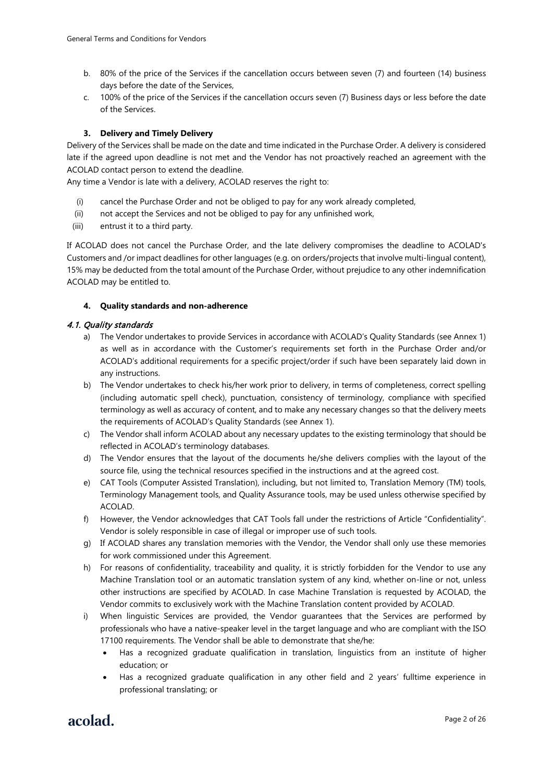- b. 80% of the price of the Services if the cancellation occurs between seven (7) and fourteen (14) business days before the date of the Services,
- c. 100% of the price of the Services if the cancellation occurs seven (7) Business days or less before the date of the Services.

#### **3. Delivery and Timely Delivery**

Delivery of the Services shall be made on the date and time indicated in the Purchase Order. A delivery is considered late if the agreed upon deadline is not met and the Vendor has not proactively reached an agreement with the ACOLAD contact person to extend the deadline.

Any time a Vendor is late with a delivery, ACOLAD reserves the right to:

- (i) cancel the Purchase Order and not be obliged to pay for any work already completed,
- (ii) not accept the Services and not be obliged to pay for any unfinished work,
- (iii) entrust it to a third party.

If ACOLAD does not cancel the Purchase Order, and the late delivery compromises the deadline to ACOLAD's Customers and /or impact deadlines for other languages (e.g. on orders/projects that involve multi-lingual content), 15% may be deducted from the total amount of the Purchase Order, without prejudice to any other indemnification ACOLAD may be entitled to.

#### **4. Quality standards and non-adherence**

#### 4.1. Quality standards

- a) The Vendor undertakes to provide Services in accordance with ACOLAD's Quality Standards (see Annex 1) as well as in accordance with the Customer's requirements set forth in the Purchase Order and/or ACOLAD's additional requirements for a specific project/order if such have been separately laid down in any instructions.
- b) The Vendor undertakes to check his/her work prior to delivery, in terms of completeness, correct spelling (including automatic spell check), punctuation, consistency of terminology, compliance with specified terminology as well as accuracy of content, and to make any necessary changes so that the delivery meets the requirements of ACOLAD's Quality Standards (see Annex 1).
- c) The Vendor shall inform ACOLAD about any necessary updates to the existing terminology that should be reflected in ACOLAD's terminology databases.
- d) The Vendor ensures that the layout of the documents he/she delivers complies with the layout of the source file, using the technical resources specified in the instructions and at the agreed cost.
- e) CAT Tools (Computer Assisted Translation), including, but not limited to, Translation Memory (TM) tools, Terminology Management tools, and Quality Assurance tools, may be used unless otherwise specified by ACOLAD.
- f) However, the Vendor acknowledges that CAT Tools fall under the restrictions of Article "Confidentiality". Vendor is solely responsible in case of illegal or improper use of such tools.
- g) If ACOLAD shares any translation memories with the Vendor, the Vendor shall only use these memories for work commissioned under this Agreement.
- h) For reasons of confidentiality, traceability and quality, it is strictly forbidden for the Vendor to use any Machine Translation tool or an automatic translation system of any kind, whether on-line or not, unless other instructions are specified by ACOLAD. In case Machine Translation is requested by ACOLAD, the Vendor commits to exclusively work with the Machine Translation content provided by ACOLAD.
- i) When linguistic Services are provided, the Vendor guarantees that the Services are performed by professionals who have a native-speaker level in the target language and who are compliant with the ISO 17100 requirements. The Vendor shall be able to demonstrate that she/he:
	- Has a recognized graduate qualification in translation, linguistics from an institute of higher education; or
	- Has a recognized graduate qualification in any other field and 2 years' fulltime experience in professional translating; or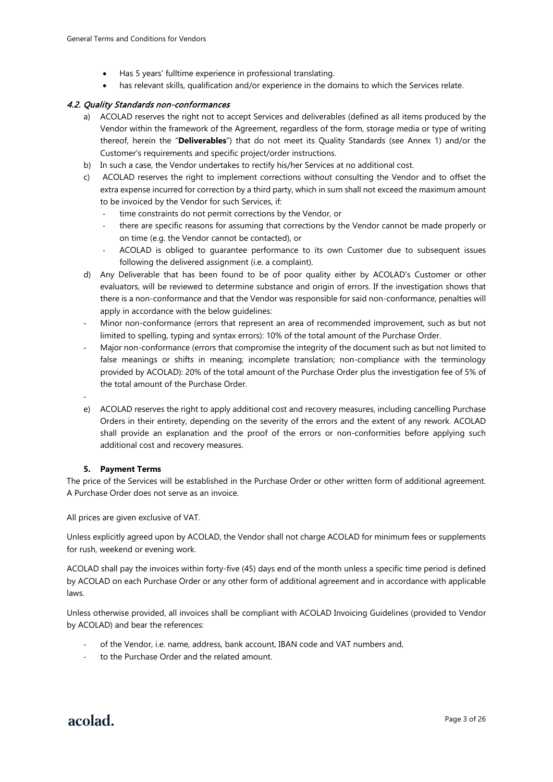- Has 5 years' fulltime experience in professional translating.
- has relevant skills, qualification and/or experience in the domains to which the Services relate.

#### 4.2. Quality Standards non-conformances

- a) ACOLAD reserves the right not to accept Services and deliverables (defined as all items produced by the Vendor within the framework of the Agreement, regardless of the form, storage media or type of writing thereof, herein the "**Deliverables**") that do not meet its Quality Standards (see Annex 1) and/or the Customer's requirements and specific project/order instructions.
- b) In such a case, the Vendor undertakes to rectify his/her Services at no additional cost.
- c) ACOLAD reserves the right to implement corrections without consulting the Vendor and to offset the extra expense incurred for correction by a third party, which in sum shall not exceed the maximum amount to be invoiced by the Vendor for such Services, if:
	- time constraints do not permit corrections by the Vendor, or
	- there are specific reasons for assuming that corrections by the Vendor cannot be made properly or on time (e.g. the Vendor cannot be contacted), or
	- ACOLAD is obliged to guarantee performance to its own Customer due to subsequent issues following the delivered assignment (i.e. a complaint).
- d) Any Deliverable that has been found to be of poor quality either by ACOLAD's Customer or other evaluators, will be reviewed to determine substance and origin of errors. If the investigation shows that there is a non-conformance and that the Vendor was responsible for said non-conformance, penalties will apply in accordance with the below guidelines:
- Minor non-conformance (errors that represent an area of recommended improvement, such as but not limited to spelling, typing and syntax errors): 10% of the total amount of the Purchase Order.
- Major non-conformance (errors that compromise the integrity of the document such as but not limited to false meanings or shifts in meaning; incomplete translation; non-compliance with the terminology provided by ACOLAD): 20% of the total amount of the Purchase Order plus the investigation fee of 5% of the total amount of the Purchase Order.
- -
- e) ACOLAD reserves the right to apply additional cost and recovery measures, including cancelling Purchase Orders in their entirety, depending on the severity of the errors and the extent of any rework. ACOLAD shall provide an explanation and the proof of the errors or non-conformities before applying such additional cost and recovery measures.

#### **5. Payment Terms**

The price of the Services will be established in the Purchase Order or other written form of additional agreement. A Purchase Order does not serve as an invoice.

All prices are given exclusive of VAT.

Unless explicitly agreed upon by ACOLAD, the Vendor shall not charge ACOLAD for minimum fees or supplements for rush, weekend or evening work.

ACOLAD shall pay the invoices within forty-five (45) days end of the month unless a specific time period is defined by ACOLAD on each Purchase Order or any other form of additional agreement and in accordance with applicable laws.

Unless otherwise provided, all invoices shall be compliant with ACOLAD Invoicing Guidelines (provided to Vendor by ACOLAD) and bear the references:

- of the Vendor, i.e. name, address, bank account, IBAN code and VAT numbers and,
- to the Purchase Order and the related amount.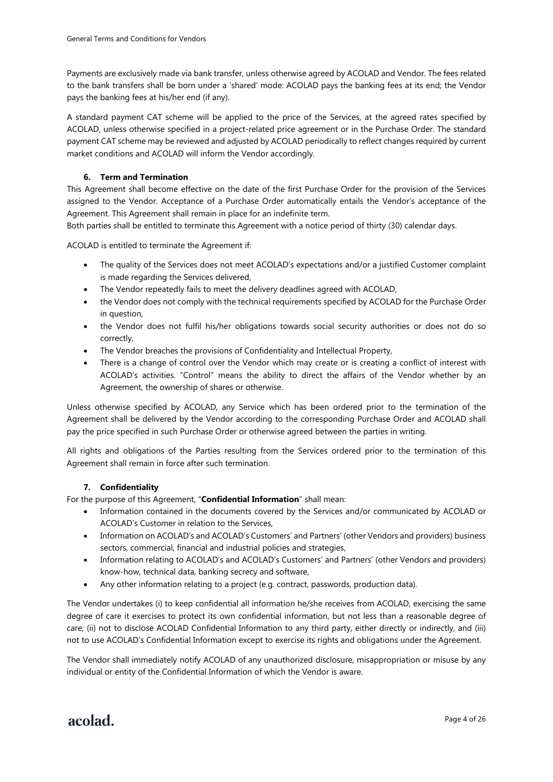Payments are exclusively made via bank transfer, unless otherwise agreed by ACOLAD and Vendor. The fees related to the bank transfers shall be born under a 'shared' mode: ACOLAD pays the banking fees at its end; the Vendor pays the banking fees at his/her end (if any).

A standard payment CAT scheme will be applied to the price of the Services, at the agreed rates specified by ACOLAD, unless otherwise specified in a project-related price agreement or in the Purchase Order. The standard payment CAT scheme may be reviewed and adjusted by ACOLAD periodically to reflect changes required by current market conditions and ACOLAD will inform the Vendor accordingly.

### **6. Term and Termination**

This Agreement shall become effective on the date of the first Purchase Order for the provision of the Services assigned to the Vendor. Acceptance of a Purchase Order automatically entails the Vendor's acceptance of the Agreement. This Agreement shall remain in place for an indefinite term.

Both parties shall be entitled to terminate this Agreement with a notice period of thirty (30) calendar days.

ACOLAD is entitled to terminate the Agreement if:

- The quality of the Services does not meet ACOLAD's expectations and/or a justified Customer complaint is made regarding the Services delivered,
- The Vendor repeatedly fails to meet the delivery deadlines agreed with ACOLAD,
- the Vendor does not comply with the technical requirements specified by ACOLAD for the Purchase Order in question,
- the Vendor does not fulfil his/her obligations towards social security authorities or does not do so correctly,
- The Vendor breaches the provisions of Confidentiality and Intellectual Property,
- There is a change of control over the Vendor which may create or is creating a conflict of interest with ACOLAD's activities. "Control" means the ability to direct the affairs of the Vendor whether by an Agreement, the ownership of shares or otherwise.

Unless otherwise specified by ACOLAD, any Service which has been ordered prior to the termination of the Agreement shall be delivered by the Vendor according to the corresponding Purchase Order and ACOLAD shall pay the price specified in such Purchase Order or otherwise agreed between the parties in writing.

All rights and obligations of the Parties resulting from the Services ordered prior to the termination of this Agreement shall remain in force after such termination.

#### **7. Confidentiality**

For the purpose of this Agreement, "**Confidential Information**" shall mean:

- Information contained in the documents covered by the Services and/or communicated by ACOLAD or ACOLAD's Customer in relation to the Services,
- Information on ACOLAD's and ACOLAD's Customers' and Partners' (other Vendors and providers) business sectors, commercial, financial and industrial policies and strategies,
- Information relating to ACOLAD's and ACOLAD's Customers' and Partners' (other Vendors and providers) know-how, technical data, banking secrecy and software,
- Any other information relating to a project (e.g. contract, passwords, production data).

The Vendor undertakes (i) to keep confidential all information he/she receives from ACOLAD, exercising the same degree of care it exercises to protect its own confidential information, but not less than a reasonable degree of care; (ii) not to disclose ACOLAD Confidential Information to any third party, either directly or indirectly, and (iii) not to use ACOLAD's Confidential Information except to exercise its rights and obligations under the Agreement.

The Vendor shall immediately notify ACOLAD of any unauthorized disclosure, misappropriation or misuse by any individual or entity of the Confidential Information of which the Vendor is aware.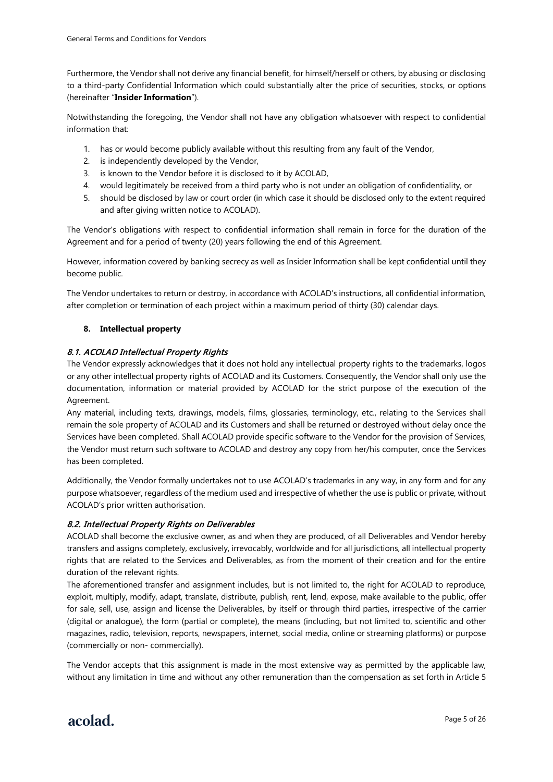Furthermore, the Vendor shall not derive any financial benefit, for himself/herself or others, by abusing or disclosing to a third-party Confidential Information which could substantially alter the price of securities, stocks, or options (hereinafter "**Insider Information**").

Notwithstanding the foregoing, the Vendor shall not have any obligation whatsoever with respect to confidential information that:

- 1. has or would become publicly available without this resulting from any fault of the Vendor,
- 2. is independently developed by the Vendor,
- 3. is known to the Vendor before it is disclosed to it by ACOLAD,
- 4. would legitimately be received from a third party who is not under an obligation of confidentiality, or
- 5. should be disclosed by law or court order (in which case it should be disclosed only to the extent required and after giving written notice to ACOLAD).

The Vendor's obligations with respect to confidential information shall remain in force for the duration of the Agreement and for a period of twenty (20) years following the end of this Agreement.

However, information covered by banking secrecy as well as Insider Information shall be kept confidential until they become public.

The Vendor undertakes to return or destroy, in accordance with ACOLAD's instructions, all confidential information, after completion or termination of each project within a maximum period of thirty (30) calendar days.

### **8. Intellectual property**

#### 8.1. ACOLAD Intellectual Property Rights

The Vendor expressly acknowledges that it does not hold any intellectual property rights to the trademarks, logos or any other intellectual property rights of ACOLAD and its Customers. Consequently, the Vendor shall only use the documentation, information or material provided by ACOLAD for the strict purpose of the execution of the Agreement.

Any material, including texts, drawings, models, films, glossaries, terminology, etc., relating to the Services shall remain the sole property of ACOLAD and its Customers and shall be returned or destroyed without delay once the Services have been completed. Shall ACOLAD provide specific software to the Vendor for the provision of Services, the Vendor must return such software to ACOLAD and destroy any copy from her/his computer, once the Services has been completed.

Additionally, the Vendor formally undertakes not to use ACOLAD's trademarks in any way, in any form and for any purpose whatsoever, regardless of the medium used and irrespective of whether the use is public or private, without ACOLAD's prior written authorisation.

#### 8.2. Intellectual Property Rights on Deliverables

ACOLAD shall become the exclusive owner, as and when they are produced, of all Deliverables and Vendor hereby transfers and assigns completely, exclusively, irrevocably, worldwide and for all jurisdictions, all intellectual property rights that are related to the Services and Deliverables, as from the moment of their creation and for the entire duration of the relevant rights.

The aforementioned transfer and assignment includes, but is not limited to, the right for ACOLAD to reproduce, exploit, multiply, modify, adapt, translate, distribute, publish, rent, lend, expose, make available to the public, offer for sale, sell, use, assign and license the Deliverables, by itself or through third parties, irrespective of the carrier (digital or analogue), the form (partial or complete), the means (including, but not limited to, scientific and other magazines, radio, television, reports, newspapers, internet, social media, online or streaming platforms) or purpose (commercially or non- commercially).

The Vendor accepts that this assignment is made in the most extensive way as permitted by the applicable law, without any limitation in time and without any other remuneration than the compensation as set forth in Article 5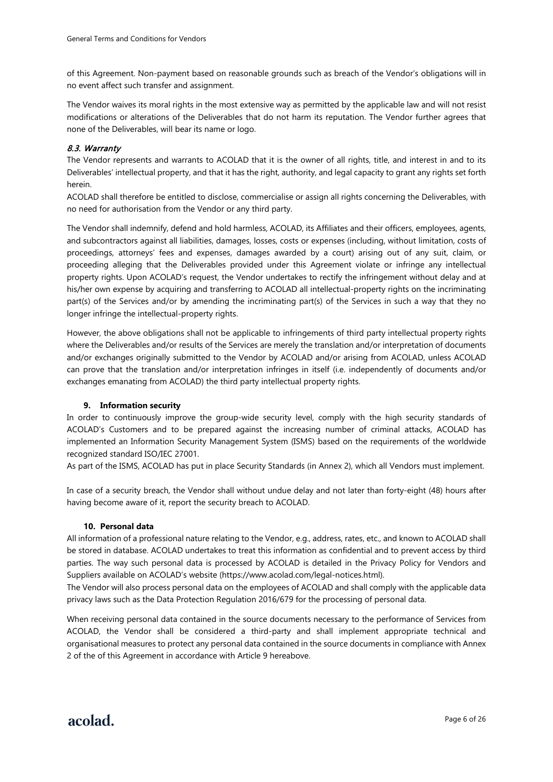of this Agreement. Non-payment based on reasonable grounds such as breach of the Vendor's obligations will in no event affect such transfer and assignment.

The Vendor waives its moral rights in the most extensive way as permitted by the applicable law and will not resist modifications or alterations of the Deliverables that do not harm its reputation. The Vendor further agrees that none of the Deliverables, will bear its name or logo.

#### 8.3. Warranty

The Vendor represents and warrants to ACOLAD that it is the owner of all rights, title, and interest in and to its Deliverables' intellectual property, and that it has the right, authority, and legal capacity to grant any rights set forth herein.

ACOLAD shall therefore be entitled to disclose, commercialise or assign all rights concerning the Deliverables, with no need for authorisation from the Vendor or any third party.

The Vendor shall indemnify, defend and hold harmless, ACOLAD, its Affiliates and their officers, employees, agents, and subcontractors against all liabilities, damages, losses, costs or expenses (including, without limitation, costs of proceedings, attorneys' fees and expenses, damages awarded by a court) arising out of any suit, claim, or proceeding alleging that the Deliverables provided under this Agreement violate or infringe any intellectual property rights. Upon ACOLAD's request, the Vendor undertakes to rectify the infringement without delay and at his/her own expense by acquiring and transferring to ACOLAD all intellectual-property rights on the incriminating part(s) of the Services and/or by amending the incriminating part(s) of the Services in such a way that they no longer infringe the intellectual-property rights.

However, the above obligations shall not be applicable to infringements of third party intellectual property rights where the Deliverables and/or results of the Services are merely the translation and/or interpretation of documents and/or exchanges originally submitted to the Vendor by ACOLAD and/or arising from ACOLAD, unless ACOLAD can prove that the translation and/or interpretation infringes in itself (i.e. independently of documents and/or exchanges emanating from ACOLAD) the third party intellectual property rights.

#### **9. Information security**

In order to continuously improve the group-wide security level, comply with the high security standards of ACOLAD's Customers and to be prepared against the increasing number of criminal attacks, ACOLAD has implemented an Information Security Management System (ISMS) based on the requirements of the worldwide recognized standard ISO/IEC 27001.

As part of the ISMS, ACOLAD has put in place Security Standards (in Annex 2), which all Vendors must implement.

In case of a security breach, the Vendor shall without undue delay and not later than forty-eight (48) hours after having become aware of it, report the security breach to ACOLAD.

#### **10. Personal data**

All information of a professional nature relating to the Vendor, e.g., address, rates, etc., and known to ACOLAD shall be stored in database. ACOLAD undertakes to treat this information as confidential and to prevent access by third parties. The way such personal data is processed by ACOLAD is detailed in the Privacy Policy for Vendors and Suppliers available on ACOLAD's website (https://www.acolad.com/legal-notices.html).

The Vendor will also process personal data on the employees of ACOLAD and shall comply with the applicable data privacy laws such as the Data Protection Regulation 2016/679 for the processing of personal data.

When receiving personal data contained in the source documents necessary to the performance of Services from ACOLAD, the Vendor shall be considered a third-party and shall implement appropriate technical and organisational measures to protect any personal data contained in the source documents in compliance with Annex 2 of the of this Agreement in accordance with Article 9 hereabove.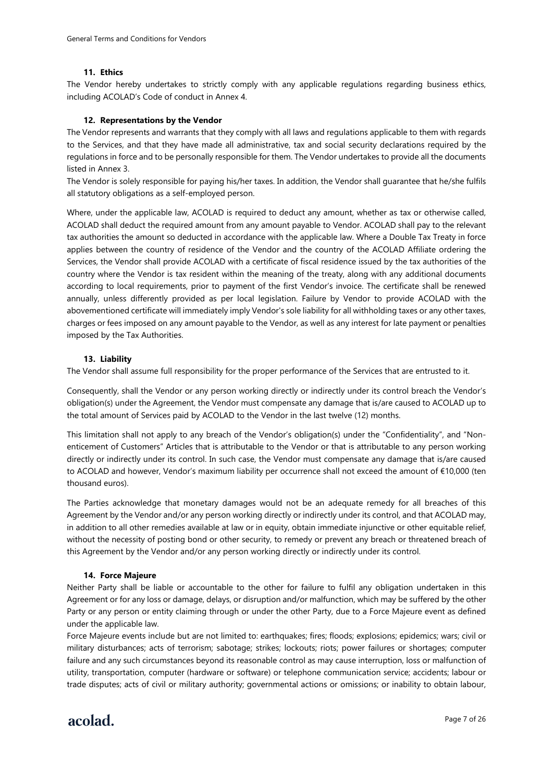#### **11. Ethics**

The Vendor hereby undertakes to strictly comply with any applicable regulations regarding business ethics, including ACOLAD's Code of conduct in Annex 4.

#### **12. Representations by the Vendor**

The Vendor represents and warrants that they comply with all laws and regulations applicable to them with regards to the Services, and that they have made all administrative, tax and social security declarations required by the regulations in force and to be personally responsible for them. The Vendor undertakes to provide all the documents listed in Annex 3.

The Vendor is solely responsible for paying his/her taxes. In addition, the Vendor shall guarantee that he/she fulfils all statutory obligations as a self-employed person.

Where, under the applicable law, ACOLAD is required to deduct any amount, whether as tax or otherwise called, ACOLAD shall deduct the required amount from any amount payable to Vendor. ACOLAD shall pay to the relevant tax authorities the amount so deducted in accordance with the applicable law. Where a Double Tax Treaty in force applies between the country of residence of the Vendor and the country of the ACOLAD Affiliate ordering the Services, the Vendor shall provide ACOLAD with a certificate of fiscal residence issued by the tax authorities of the country where the Vendor is tax resident within the meaning of the treaty, along with any additional documents according to local requirements, prior to payment of the first Vendor's invoice. The certificate shall be renewed annually, unless differently provided as per local legislation. Failure by Vendor to provide ACOLAD with the abovementioned certificate will immediately imply Vendor's sole liability for all withholding taxes or any other taxes, charges or fees imposed on any amount payable to the Vendor, as well as any interest for late payment or penalties imposed by the Tax Authorities.

#### **13. Liability**

The Vendor shall assume full responsibility for the proper performance of the Services that are entrusted to it.

Consequently, shall the Vendor or any person working directly or indirectly under its control breach the Vendor's obligation(s) under the Agreement, the Vendor must compensate any damage that is/are caused to ACOLAD up to the total amount of Services paid by ACOLAD to the Vendor in the last twelve (12) months.

This limitation shall not apply to any breach of the Vendor's obligation(s) under the "Confidentiality", and "Nonenticement of Customers" Articles that is attributable to the Vendor or that is attributable to any person working directly or indirectly under its control. In such case, the Vendor must compensate any damage that is/are caused to ACOLAD and however, Vendor's maximum liability per occurrence shall not exceed the amount of €10,000 (ten thousand euros).

The Parties acknowledge that monetary damages would not be an adequate remedy for all breaches of this Agreement by the Vendor and/or any person working directly or indirectly under its control, and that ACOLAD may, in addition to all other remedies available at law or in equity, obtain immediate injunctive or other equitable relief, without the necessity of posting bond or other security, to remedy or prevent any breach or threatened breach of this Agreement by the Vendor and/or any person working directly or indirectly under its control.

#### **14. Force Majeure**

Neither Party shall be liable or accountable to the other for failure to fulfil any obligation undertaken in this Agreement or for any loss or damage, delays, or disruption and/or malfunction, which may be suffered by the other Party or any person or entity claiming through or under the other Party, due to a Force Majeure event as defined under the applicable law.

Force Majeure events include but are not limited to: earthquakes; fires; floods; explosions; epidemics; wars; civil or military disturbances; acts of terrorism; sabotage; strikes; lockouts; riots; power failures or shortages; computer failure and any such circumstances beyond its reasonable control as may cause interruption, loss or malfunction of utility, transportation, computer (hardware or software) or telephone communication service; accidents; labour or trade disputes; acts of civil or military authority; governmental actions or omissions; or inability to obtain labour,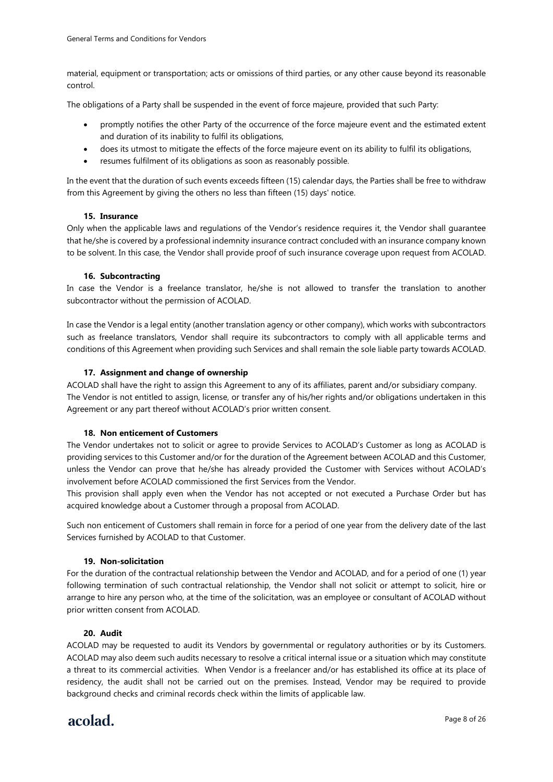material, equipment or transportation; acts or omissions of third parties, or any other cause beyond its reasonable control.

The obligations of a Party shall be suspended in the event of force majeure, provided that such Party:

- promptly notifies the other Party of the occurrence of the force majeure event and the estimated extent and duration of its inability to fulfil its obligations,
- does its utmost to mitigate the effects of the force majeure event on its ability to fulfil its obligations,
- resumes fulfilment of its obligations as soon as reasonably possible.

In the event that the duration of such events exceeds fifteen (15) calendar days, the Parties shall be free to withdraw from this Agreement by giving the others no less than fifteen (15) days' notice.

#### **15. Insurance**

Only when the applicable laws and regulations of the Vendor's residence requires it, the Vendor shall guarantee that he/she is covered by a professional indemnity insurance contract concluded with an insurance company known to be solvent. In this case, the Vendor shall provide proof of such insurance coverage upon request from ACOLAD.

#### **16. Subcontracting**

In case the Vendor is a freelance translator, he/she is not allowed to transfer the translation to another subcontractor without the permission of ACOLAD.

In case the Vendor is a legal entity (another translation agency or other company), which works with subcontractors such as freelance translators, Vendor shall require its subcontractors to comply with all applicable terms and conditions of this Agreement when providing such Services and shall remain the sole liable party towards ACOLAD.

#### **17. Assignment and change of ownership**

ACOLAD shall have the right to assign this Agreement to any of its affiliates, parent and/or subsidiary company. The Vendor is not entitled to assign, license, or transfer any of his/her rights and/or obligations undertaken in this Agreement or any part thereof without ACOLAD's prior written consent.

#### **18. Non enticement of Customers**

The Vendor undertakes not to solicit or agree to provide Services to ACOLAD's Customer as long as ACOLAD is providing services to this Customer and/or for the duration of the Agreement between ACOLAD and this Customer, unless the Vendor can prove that he/she has already provided the Customer with Services without ACOLAD's involvement before ACOLAD commissioned the first Services from the Vendor.

This provision shall apply even when the Vendor has not accepted or not executed a Purchase Order but has acquired knowledge about a Customer through a proposal from ACOLAD.

Such non enticement of Customers shall remain in force for a period of one year from the delivery date of the last Services furnished by ACOLAD to that Customer.

#### **19. Non-solicitation**

For the duration of the contractual relationship between the Vendor and ACOLAD, and for a period of one (1) year following termination of such contractual relationship, the Vendor shall not solicit or attempt to solicit, hire or arrange to hire any person who, at the time of the solicitation, was an employee or consultant of ACOLAD without prior written consent from ACOLAD.

#### **20. Audit**

ACOLAD may be requested to audit its Vendors by governmental or regulatory authorities or by its Customers. ACOLAD may also deem such audits necessary to resolve a critical internal issue or a situation which may constitute a threat to its commercial activities. When Vendor is a freelancer and/or has established its office at its place of residency, the audit shall not be carried out on the premises. Instead, Vendor may be required to provide background checks and criminal records check within the limits of applicable law.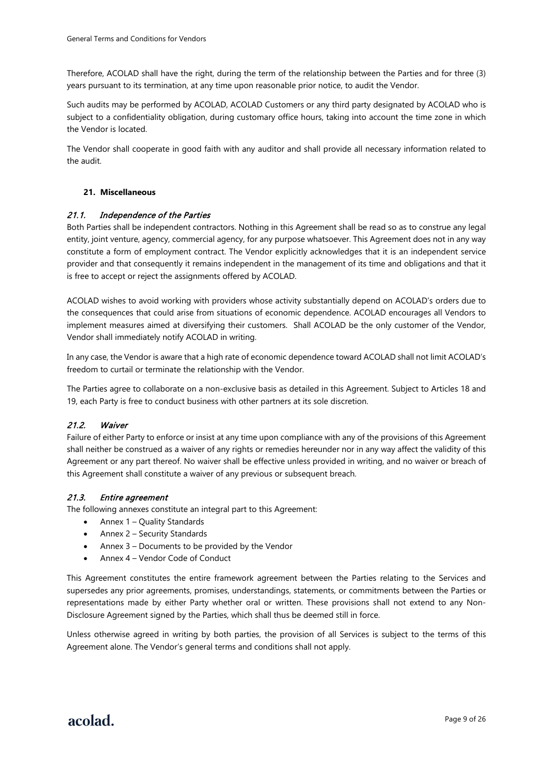Therefore, ACOLAD shall have the right, during the term of the relationship between the Parties and for three (3) years pursuant to its termination, at any time upon reasonable prior notice, to audit the Vendor.

Such audits may be performed by ACOLAD, ACOLAD Customers or any third party designated by ACOLAD who is subject to a confidentiality obligation, during customary office hours, taking into account the time zone in which the Vendor is located.

The Vendor shall cooperate in good faith with any auditor and shall provide all necessary information related to the audit.

#### **21. Miscellaneous**

#### 21.1. Independence of the Parties

Both Parties shall be independent contractors. Nothing in this Agreement shall be read so as to construe any legal entity, joint venture, agency, commercial agency, for any purpose whatsoever. This Agreement does not in any way constitute a form of employment contract. The Vendor explicitly acknowledges that it is an independent service provider and that consequently it remains independent in the management of its time and obligations and that it is free to accept or reject the assignments offered by ACOLAD.

ACOLAD wishes to avoid working with providers whose activity substantially depend on ACOLAD's orders due to the consequences that could arise from situations of economic dependence. ACOLAD encourages all Vendors to implement measures aimed at diversifying their customers. Shall ACOLAD be the only customer of the Vendor, Vendor shall immediately notify ACOLAD in writing.

In any case, the Vendor is aware that a high rate of economic dependence toward ACOLAD shall not limit ACOLAD's freedom to curtail or terminate the relationship with the Vendor.

The Parties agree to collaborate on a non-exclusive basis as detailed in this Agreement. Subject to Articles 18 and 19, each Party is free to conduct business with other partners at its sole discretion.

#### 21.2. Waiver

Failure of either Party to enforce or insist at any time upon compliance with any of the provisions of this Agreement shall neither be construed as a waiver of any rights or remedies hereunder nor in any way affect the validity of this Agreement or any part thereof. No waiver shall be effective unless provided in writing, and no waiver or breach of this Agreement shall constitute a waiver of any previous or subsequent breach.

#### 21.3. Entire agreement

The following annexes constitute an integral part to this Agreement:

- Annex 1 Quality Standards
- Annex 2 Security Standards
- Annex 3 Documents to be provided by the Vendor
- Annex 4 Vendor Code of Conduct

This Agreement constitutes the entire framework agreement between the Parties relating to the Services and supersedes any prior agreements, promises, understandings, statements, or commitments between the Parties or representations made by either Party whether oral or written. These provisions shall not extend to any Non-Disclosure Agreement signed by the Parties, which shall thus be deemed still in force.

Unless otherwise agreed in writing by both parties, the provision of all Services is subject to the terms of this Agreement alone. The Vendor's general terms and conditions shall not apply.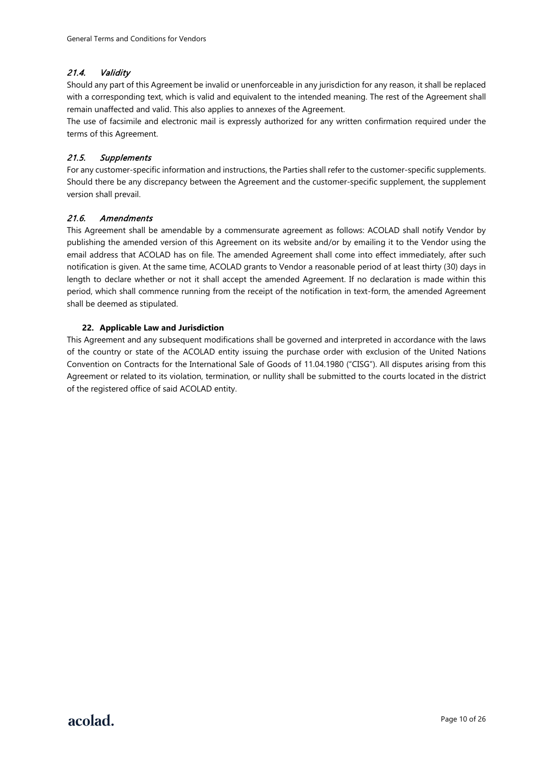### 21.4. Validity

Should any part of this Agreement be invalid or unenforceable in any jurisdiction for any reason, it shall be replaced with a corresponding text, which is valid and equivalent to the intended meaning. The rest of the Agreement shall remain unaffected and valid. This also applies to annexes of the Agreement.

The use of facsimile and electronic mail is expressly authorized for any written confirmation required under the terms of this Agreement.

### 21.5. Supplements

For any customer-specific information and instructions, the Parties shall refer to the customer-specific supplements. Should there be any discrepancy between the Agreement and the customer-specific supplement, the supplement version shall prevail.

### 21.6. Amendments

This Agreement shall be amendable by a commensurate agreement as follows: ACOLAD shall notify Vendor by publishing the amended version of this Agreement on its website and/or by emailing it to the Vendor using the email address that ACOLAD has on file. The amended Agreement shall come into effect immediately, after such notification is given. At the same time, ACOLAD grants to Vendor a reasonable period of at least thirty (30) days in length to declare whether or not it shall accept the amended Agreement. If no declaration is made within this period, which shall commence running from the receipt of the notification in text-form, the amended Agreement shall be deemed as stipulated.

#### **22. Applicable Law and Jurisdiction**

This Agreement and any subsequent modifications shall be governed and interpreted in accordance with the laws of the country or state of the ACOLAD entity issuing the purchase order with exclusion of the United Nations Convention on Contracts for the International Sale of Goods of 11.04.1980 ("CISG"). All disputes arising from this Agreement or related to its violation, termination, or nullity shall be submitted to the courts located in the district of the registered office of said ACOLAD entity.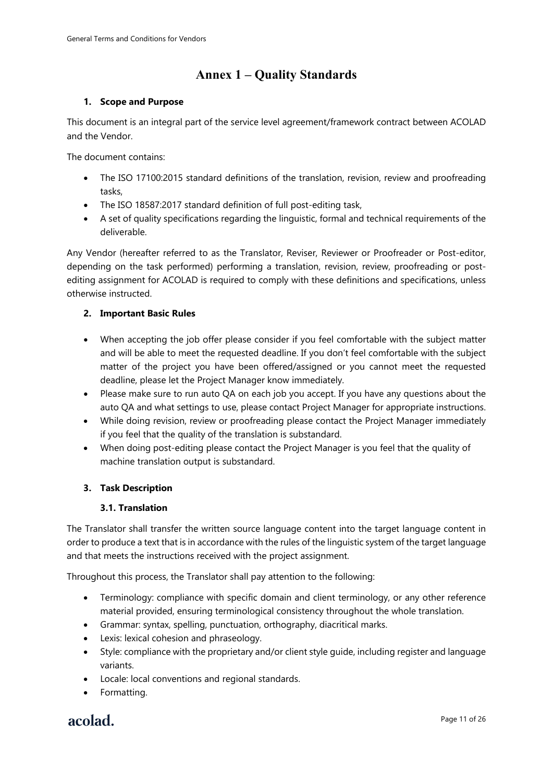# **Annex 1 – Quality Standards**

# **1. Scope and Purpose**

This document is an integral part of the service level agreement/framework contract between ACOLAD and the Vendor.

The document contains:

- The ISO 17100:2015 standard definitions of the translation, revision, review and proofreading tacks
- The ISO 18587:2017 standard definition of full post-editing task,
- A set of quality specifications regarding the linguistic, formal and technical requirements of the deliverable.

Any Vendor (hereafter referred to as the Translator, Reviser, Reviewer or Proofreader or Post-editor, depending on the task performed) performing a translation, revision, review, proofreading or postediting assignment for ACOLAD is required to comply with these definitions and specifications, unless otherwise instructed.

# **2. Important Basic Rules**

- When accepting the job offer please consider if you feel comfortable with the subject matter and will be able to meet the requested deadline. If you don't feel comfortable with the subject matter of the project you have been offered/assigned or you cannot meet the requested deadline, please let the Project Manager know immediately.
- Please make sure to run auto QA on each job you accept. If you have any questions about the auto QA and what settings to use, please contact Project Manager for appropriate instructions.
- While doing revision, review or proofreading please contact the Project Manager immediately if you feel that the quality of the translation is substandard.
- When doing post-editing please contact the Project Manager is you feel that the quality of machine translation output is substandard.

# **3. Task Description**

### **3.1. Translation**

The Translator shall transfer the written source language content into the target language content in order to produce a text that is in accordance with the rules of the linguistic system of the target language and that meets the instructions received with the project assignment.

Throughout this process, the Translator shall pay attention to the following:

- Terminology: compliance with specific domain and client terminology, or any other reference material provided, ensuring terminological consistency throughout the whole translation.
- Grammar: syntax, spelling, punctuation, orthography, diacritical marks.
- Lexis: lexical cohesion and phraseology.
- Style: compliance with the proprietary and/or client style guide, including register and language variants.
- Locale: local conventions and regional standards.
- Formatting.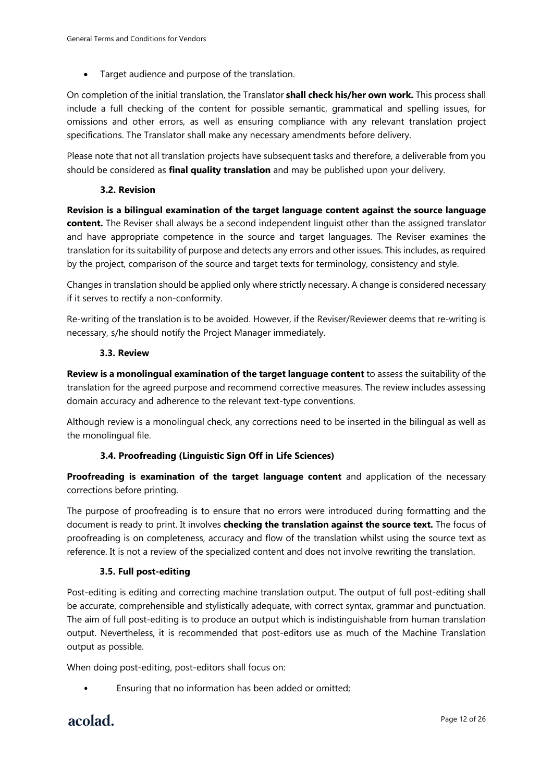• Target audience and purpose of the translation.

On completion of the initial translation, the Translator **shall check his/her own work.** This process shall include a full checking of the content for possible semantic, grammatical and spelling issues, for omissions and other errors, as well as ensuring compliance with any relevant translation project specifications. The Translator shall make any necessary amendments before delivery.

Please note that not all translation projects have subsequent tasks and therefore, a deliverable from you should be considered as **final quality translation** and may be published upon your delivery.

# **3.2. Revision**

**Revision is a bilingual examination of the target language content against the source language content.** The Reviser shall always be a second independent linguist other than the assigned translator and have appropriate competence in the source and target languages. The Reviser examines the translation for its suitability of purpose and detects any errors and other issues. This includes, as required by the project, comparison of the source and target texts for terminology, consistency and style.

Changes in translation should be applied only where strictly necessary. A change is considered necessary if it serves to rectify a non-conformity.

Re-writing of the translation is to be avoided. However, if the Reviser/Reviewer deems that re-writing is necessary, s/he should notify the Project Manager immediately.

# **3.3. Review**

**Review is a monolingual examination of the target language content** to assess the suitability of the translation for the agreed purpose and recommend corrective measures. The review includes assessing domain accuracy and adherence to the relevant text-type conventions.

Although review is a monolingual check, any corrections need to be inserted in the bilingual as well as the monolingual file.

# **3.4. Proofreading (Linguistic Sign Off in Life Sciences)**

**Proofreading is examination of the target language content** and application of the necessary corrections before printing.

The purpose of proofreading is to ensure that no errors were introduced during formatting and the document is ready to print. It involves **checking the translation against the source text.** The focus of proofreading is on completeness, accuracy and flow of the translation whilst using the source text as reference. It is not a review of the specialized content and does not involve rewriting the translation.

# **3.5. Full post-editing**

Post-editing is editing and correcting machine translation output. The output of full post-editing shall be accurate, comprehensible and stylistically adequate, with correct syntax, grammar and punctuation. The aim of full post-editing is to produce an output which is indistinguishable from human translation output. Nevertheless, it is recommended that post-editors use as much of the Machine Translation output as possible.

When doing post-editing, post-editors shall focus on:

Ensuring that no information has been added or omitted: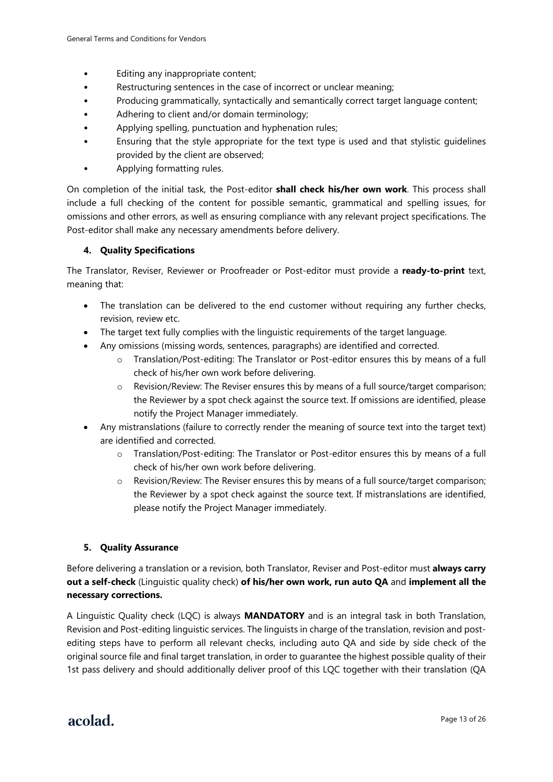- Editing any inappropriate content;
- Restructuring sentences in the case of incorrect or unclear meaning;
- Producing grammatically, syntactically and semantically correct target language content;
- Adhering to client and/or domain terminology;
- Applying spelling, punctuation and hyphenation rules;
- Ensuring that the style appropriate for the text type is used and that stylistic guidelines provided by the client are observed;
- Applying formatting rules.

On completion of the initial task, the Post-editor **shall check his/her own work**. This process shall include a full checking of the content for possible semantic, grammatical and spelling issues, for omissions and other errors, as well as ensuring compliance with any relevant project specifications. The Post-editor shall make any necessary amendments before delivery.

# **4. Quality Specifications**

The Translator, Reviser, Reviewer or Proofreader or Post-editor must provide a **ready-to-print** text, meaning that:

- The translation can be delivered to the end customer without requiring any further checks, revision, review etc.
- The target text fully complies with the linguistic requirements of the target language.
- Any omissions (missing words, sentences, paragraphs) are identified and corrected.
	- o Translation/Post-editing: The Translator or Post-editor ensures this by means of a full check of his/her own work before delivering.
	- o Revision/Review: The Reviser ensures this by means of a full source/target comparison; the Reviewer by a spot check against the source text. If omissions are identified, please notify the Project Manager immediately.
- Any mistranslations (failure to correctly render the meaning of source text into the target text) are identified and corrected.
	- o Translation/Post-editing: The Translator or Post-editor ensures this by means of a full check of his/her own work before delivering.
	- o Revision/Review: The Reviser ensures this by means of a full source/target comparison; the Reviewer by a spot check against the source text. If mistranslations are identified, please notify the Project Manager immediately.

### **5. Quality Assurance**

Before delivering a translation or a revision, both Translator, Reviser and Post-editor must **always carry out a self-check** (Linguistic quality check) **of his/her own work, run auto QA** and **implement all the necessary corrections.**

A Linguistic Quality check (LQC) is always **MANDATORY** and is an integral task in both Translation, Revision and Post-editing linguistic services. The linguists in charge of the translation, revision and postediting steps have to perform all relevant checks, including auto QA and side by side check of the original source file and final target translation, in order to guarantee the highest possible quality of their 1st pass delivery and should additionally deliver proof of this LQC together with their translation (QA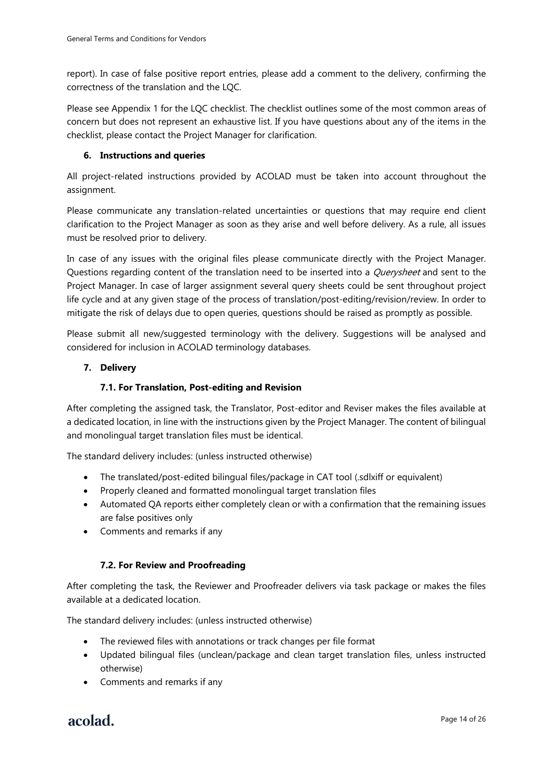report). In case of false positive report entries, please add a comment to the delivery, confirming the correctness of the translation and the LQC.

Please see Appendix 1 for the LQC checklist. The checklist outlines some of the most common areas of concern but does not represent an exhaustive list. If you have questions about any of the items in the checklist, please contact the Project Manager for clarification.

### **6. Instructions and queries**

All project-related instructions provided by ACOLAD must be taken into account throughout the assignment.

Please communicate any translation-related uncertainties or questions that may require end client clarification to the Project Manager as soon as they arise and well before delivery. As a rule, all issues must be resolved prior to delivery.

In case of any issues with the original files please communicate directly with the Project Manager. Questions regarding content of the translation need to be inserted into a *Querysheet* and sent to the Project Manager. In case of larger assignment several query sheets could be sent throughout project life cycle and at any given stage of the process of translation/post-editing/revision/review. In order to mitigate the risk of delays due to open queries, questions should be raised as promptly as possible.

Please submit all new/suggested terminology with the delivery. Suggestions will be analysed and considered for inclusion in ACOLAD terminology databases.

# **7. Delivery**

# **7.1. For Translation, Post-editing and Revision**

After completing the assigned task, the Translator, Post-editor and Reviser makes the files available at a dedicated location, in line with the instructions given by the Project Manager. The content of bilingual and monolingual target translation files must be identical.

The standard delivery includes: (unless instructed otherwise)

- The translated/post-edited bilingual files/package in CAT tool (.sdlxiff or equivalent)
- Properly cleaned and formatted monolingual target translation files
- Automated QA reports either completely clean or with a confirmation that the remaining issues are false positives only
- Comments and remarks if any

### **7.2. For Review and Proofreading**

After completing the task, the Reviewer and Proofreader delivers via task package or makes the files available at a dedicated location.

The standard delivery includes: (unless instructed otherwise)

- The reviewed files with annotations or track changes per file format
- Updated bilingual files (unclean/package and clean target translation files, unless instructed otherwise)
- Comments and remarks if any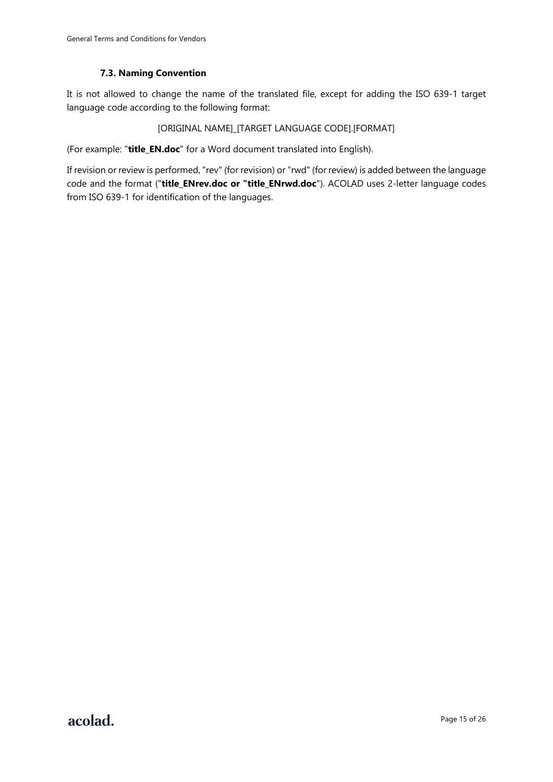# **7.3. Naming Convention**

It is not allowed to change the name of the translated file, except for adding the ISO 639-1 target language code according to the following format:

### [ORIGINAL NAME]\_[TARGET LANGUAGE CODE].[FORMAT]

(For example: "**title\_EN.doc**" for a Word document translated into English).

If revision or review is performed, "rev" (for revision) or "rwd" (for review) is added between the language code and the format ("**title\_ENrev.doc or "title\_ENrwd.doc**"). ACOLAD uses 2-letter language codes from ISO 639-1 for identification of the languages.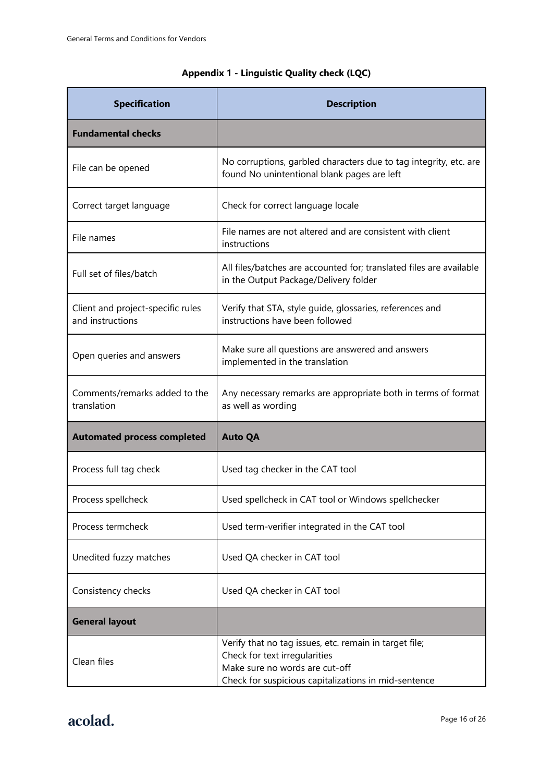# **Appendix 1 - Linguistic Quality check (LQC)**

| <b>Specification</b>                                  | <b>Description</b>                                                                                                                                                                |  |
|-------------------------------------------------------|-----------------------------------------------------------------------------------------------------------------------------------------------------------------------------------|--|
| <b>Fundamental checks</b>                             |                                                                                                                                                                                   |  |
| File can be opened                                    | No corruptions, garbled characters due to tag integrity, etc. are<br>found No unintentional blank pages are left                                                                  |  |
| Correct target language                               | Check for correct language locale                                                                                                                                                 |  |
| File names                                            | File names are not altered and are consistent with client<br>instructions                                                                                                         |  |
| Full set of files/batch                               | All files/batches are accounted for; translated files are available<br>in the Output Package/Delivery folder                                                                      |  |
| Client and project-specific rules<br>and instructions | Verify that STA, style guide, glossaries, references and<br>instructions have been followed                                                                                       |  |
| Open queries and answers                              | Make sure all questions are answered and answers<br>implemented in the translation                                                                                                |  |
| Comments/remarks added to the<br>translation          | Any necessary remarks are appropriate both in terms of format<br>as well as wording                                                                                               |  |
| <b>Automated process completed</b>                    | <b>Auto QA</b>                                                                                                                                                                    |  |
| Process full tag check                                | Used tag checker in the CAT tool                                                                                                                                                  |  |
| Process spellcheck                                    | Used spellcheck in CAT tool or Windows spellchecker                                                                                                                               |  |
| Process termcheck                                     | Used term-verifier integrated in the CAT tool                                                                                                                                     |  |
| Unedited fuzzy matches                                | Used QA checker in CAT tool                                                                                                                                                       |  |
| Consistency checks                                    | Used QA checker in CAT tool                                                                                                                                                       |  |
| <b>General layout</b>                                 |                                                                                                                                                                                   |  |
| Clean files                                           | Verify that no tag issues, etc. remain in target file;<br>Check for text irregularities<br>Make sure no words are cut-off<br>Check for suspicious capitalizations in mid-sentence |  |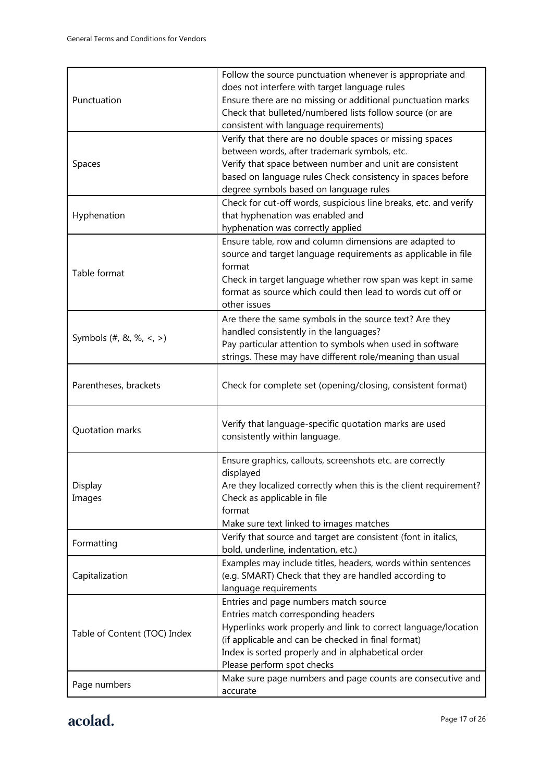|                              | Follow the source punctuation whenever is appropriate and<br>does not interfere with target language rules |  |  |
|------------------------------|------------------------------------------------------------------------------------------------------------|--|--|
| Punctuation                  | Ensure there are no missing or additional punctuation marks                                                |  |  |
|                              | Check that bulleted/numbered lists follow source (or are                                                   |  |  |
|                              | consistent with language requirements)                                                                     |  |  |
|                              | Verify that there are no double spaces or missing spaces                                                   |  |  |
|                              | between words, after trademark symbols, etc.                                                               |  |  |
| Spaces                       | Verify that space between number and unit are consistent                                                   |  |  |
|                              | based on language rules Check consistency in spaces before                                                 |  |  |
|                              | degree symbols based on language rules                                                                     |  |  |
|                              | Check for cut-off words, suspicious line breaks, etc. and verify                                           |  |  |
| Hyphenation                  | that hyphenation was enabled and                                                                           |  |  |
|                              | hyphenation was correctly applied                                                                          |  |  |
|                              | Ensure table, row and column dimensions are adapted to                                                     |  |  |
|                              | source and target language requirements as applicable in file                                              |  |  |
| Table format                 | format                                                                                                     |  |  |
|                              | Check in target language whether row span was kept in same                                                 |  |  |
|                              | format as source which could then lead to words cut off or                                                 |  |  |
|                              | other issues                                                                                               |  |  |
|                              | Are there the same symbols in the source text? Are they                                                    |  |  |
| Symbols (#, &, %, <, >)      | handled consistently in the languages?                                                                     |  |  |
|                              | Pay particular attention to symbols when used in software                                                  |  |  |
|                              | strings. These may have different role/meaning than usual                                                  |  |  |
|                              |                                                                                                            |  |  |
| Parentheses, brackets        | Check for complete set (opening/closing, consistent format)                                                |  |  |
|                              |                                                                                                            |  |  |
| Quotation marks              | Verify that language-specific quotation marks are used                                                     |  |  |
|                              | consistently within language.                                                                              |  |  |
|                              |                                                                                                            |  |  |
|                              | Ensure graphics, callouts, screenshots etc. are correctly                                                  |  |  |
|                              | displayed                                                                                                  |  |  |
| Display                      | Are they localized correctly when this is the client requirement?                                          |  |  |
| Images                       | Check as applicable in file                                                                                |  |  |
|                              | format<br>Make sure text linked to images matches                                                          |  |  |
|                              |                                                                                                            |  |  |
| Formatting                   | Verify that source and target are consistent (font in italics,<br>bold, underline, indentation, etc.)      |  |  |
|                              | Examples may include titles, headers, words within sentences                                               |  |  |
| Capitalization               | (e.g. SMART) Check that they are handled according to                                                      |  |  |
|                              | language requirements                                                                                      |  |  |
|                              | Entries and page numbers match source                                                                      |  |  |
|                              | Entries match corresponding headers                                                                        |  |  |
|                              | Hyperlinks work properly and link to correct language/location                                             |  |  |
| Table of Content (TOC) Index | (if applicable and can be checked in final format)                                                         |  |  |
|                              | Index is sorted properly and in alphabetical order                                                         |  |  |
|                              | Please perform spot checks                                                                                 |  |  |
|                              | Make sure page numbers and page counts are consecutive and                                                 |  |  |
| Page numbers                 | accurate                                                                                                   |  |  |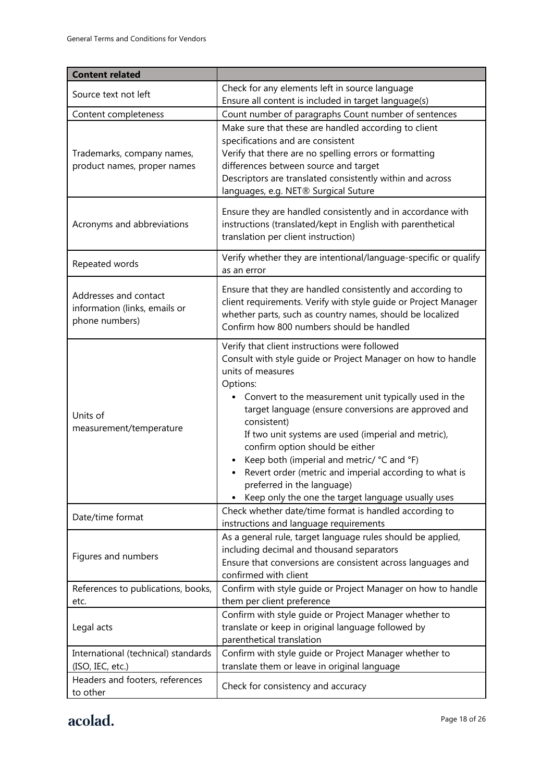| <b>Content related</b>                                                   |                                                                                                                                                                                                                                                                                                                                                                                                                                                                                                                                                                                   |  |
|--------------------------------------------------------------------------|-----------------------------------------------------------------------------------------------------------------------------------------------------------------------------------------------------------------------------------------------------------------------------------------------------------------------------------------------------------------------------------------------------------------------------------------------------------------------------------------------------------------------------------------------------------------------------------|--|
| Source text not left                                                     | Check for any elements left in source language                                                                                                                                                                                                                                                                                                                                                                                                                                                                                                                                    |  |
|                                                                          | Ensure all content is included in target language(s)                                                                                                                                                                                                                                                                                                                                                                                                                                                                                                                              |  |
| Content completeness                                                     | Count number of paragraphs Count number of sentences                                                                                                                                                                                                                                                                                                                                                                                                                                                                                                                              |  |
| Trademarks, company names,<br>product names, proper names                | Make sure that these are handled according to client<br>specifications and are consistent<br>Verify that there are no spelling errors or formatting<br>differences between source and target<br>Descriptors are translated consistently within and across<br>languages, e.g. NET® Surgical Suture                                                                                                                                                                                                                                                                                 |  |
| Acronyms and abbreviations                                               | Ensure they are handled consistently and in accordance with<br>instructions (translated/kept in English with parenthetical<br>translation per client instruction)                                                                                                                                                                                                                                                                                                                                                                                                                 |  |
| Repeated words                                                           | Verify whether they are intentional/language-specific or qualify<br>as an error                                                                                                                                                                                                                                                                                                                                                                                                                                                                                                   |  |
| Addresses and contact<br>information (links, emails or<br>phone numbers) | Ensure that they are handled consistently and according to<br>client requirements. Verify with style guide or Project Manager<br>whether parts, such as country names, should be localized<br>Confirm how 800 numbers should be handled                                                                                                                                                                                                                                                                                                                                           |  |
| Units of<br>measurement/temperature                                      | Verify that client instructions were followed<br>Consult with style guide or Project Manager on how to handle<br>units of measures<br>Options:<br>Convert to the measurement unit typically used in the<br>$\bullet$<br>target language (ensure conversions are approved and<br>consistent)<br>If two unit systems are used (imperial and metric),<br>confirm option should be either<br>Keep both (imperial and metric/ °C and °F)<br>Revert order (metric and imperial according to what is<br>preferred in the language)<br>Keep only the one the target language usually uses |  |
| Date/time format                                                         | Check whether date/time format is handled according to<br>instructions and language requirements                                                                                                                                                                                                                                                                                                                                                                                                                                                                                  |  |
| Figures and numbers                                                      | As a general rule, target language rules should be applied,<br>including decimal and thousand separators<br>Ensure that conversions are consistent across languages and<br>confirmed with client                                                                                                                                                                                                                                                                                                                                                                                  |  |
| References to publications, books,                                       | Confirm with style guide or Project Manager on how to handle                                                                                                                                                                                                                                                                                                                                                                                                                                                                                                                      |  |
| etc.<br>Legal acts                                                       | them per client preference<br>Confirm with style guide or Project Manager whether to<br>translate or keep in original language followed by<br>parenthetical translation                                                                                                                                                                                                                                                                                                                                                                                                           |  |
| International (technical) standards<br>(ISO, IEC, etc.)                  | Confirm with style guide or Project Manager whether to<br>translate them or leave in original language                                                                                                                                                                                                                                                                                                                                                                                                                                                                            |  |
| Headers and footers, references<br>to other                              | Check for consistency and accuracy                                                                                                                                                                                                                                                                                                                                                                                                                                                                                                                                                |  |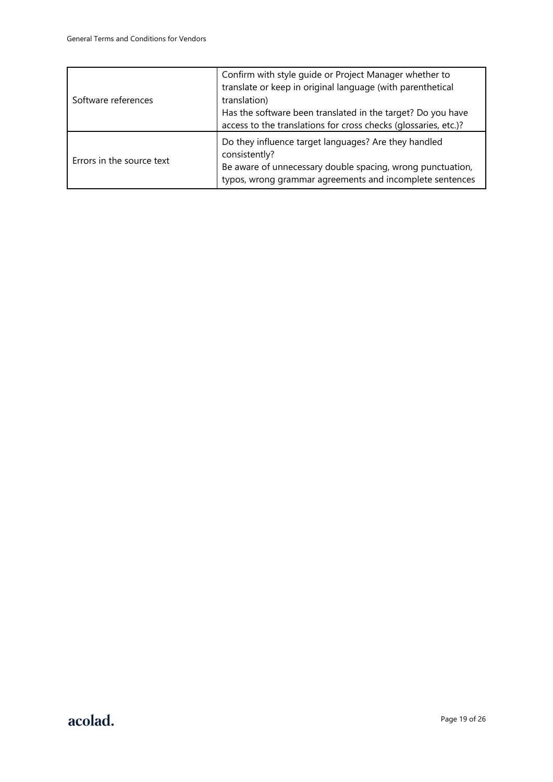| Software references       | Confirm with style guide or Project Manager whether to<br>translate or keep in original language (with parenthetical<br>translation)<br>Has the software been translated in the target? Do you have<br>access to the translations for cross checks (glossaries, etc.)? |
|---------------------------|------------------------------------------------------------------------------------------------------------------------------------------------------------------------------------------------------------------------------------------------------------------------|
| Errors in the source text | Do they influence target languages? Are they handled<br>consistently?<br>Be aware of unnecessary double spacing, wrong punctuation,<br>typos, wrong grammar agreements and incomplete sentences                                                                        |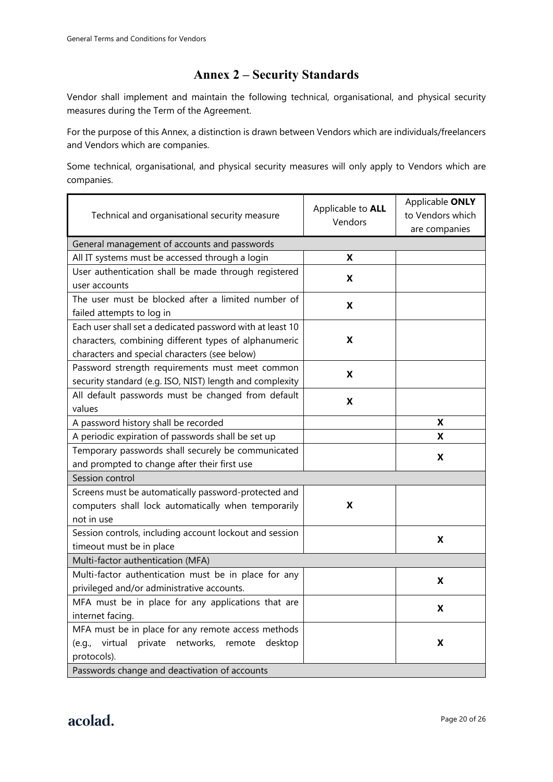# **Annex 2 – Security Standards**

Vendor shall implement and maintain the following technical, organisational, and physical security measures during the Term of the Agreement.

For the purpose of this Annex, a distinction is drawn between Vendors which are individuals/freelancers and Vendors which are companies.

Some technical, organisational, and physical security measures will only apply to Vendors which are companies.

| Technical and organisational security measure               | Applicable to <b>ALL</b><br>Vendors | Applicable ONLY<br>to Vendors which<br>are companies |
|-------------------------------------------------------------|-------------------------------------|------------------------------------------------------|
| General management of accounts and passwords                |                                     |                                                      |
| All IT systems must be accessed through a login             | X                                   |                                                      |
| User authentication shall be made through registered        | X                                   |                                                      |
| user accounts                                               |                                     |                                                      |
| The user must be blocked after a limited number of          | X                                   |                                                      |
| failed attempts to log in                                   |                                     |                                                      |
| Each user shall set a dedicated password with at least 10   |                                     |                                                      |
| characters, combining different types of alphanumeric       | X                                   |                                                      |
| characters and special characters (see below)               |                                     |                                                      |
| Password strength requirements must meet common             | X                                   |                                                      |
| security standard (e.g. ISO, NIST) length and complexity    |                                     |                                                      |
| All default passwords must be changed from default          | X                                   |                                                      |
| values                                                      |                                     |                                                      |
| A password history shall be recorded                        |                                     | X                                                    |
| A periodic expiration of passwords shall be set up          |                                     | X                                                    |
| Temporary passwords shall securely be communicated          |                                     | X                                                    |
| and prompted to change after their first use                |                                     |                                                      |
| Session control                                             |                                     |                                                      |
| Screens must be automatically password-protected and        |                                     |                                                      |
| computers shall lock automatically when temporarily         | X                                   |                                                      |
| not in use                                                  |                                     |                                                      |
| Session controls, including account lockout and session     |                                     | X                                                    |
| timeout must be in place                                    |                                     |                                                      |
| Multi-factor authentication (MFA)                           |                                     |                                                      |
| Multi-factor authentication must be in place for any        |                                     | X                                                    |
| privileged and/or administrative accounts.                  |                                     |                                                      |
| MFA must be in place for any applications that are          |                                     | X                                                    |
| internet facing.                                            |                                     |                                                      |
| MFA must be in place for any remote access methods          |                                     |                                                      |
| virtual<br>private networks,<br>(e.g.,<br>remote<br>desktop |                                     | X                                                    |
| protocols).                                                 |                                     |                                                      |
| Passwords change and deactivation of accounts               |                                     |                                                      |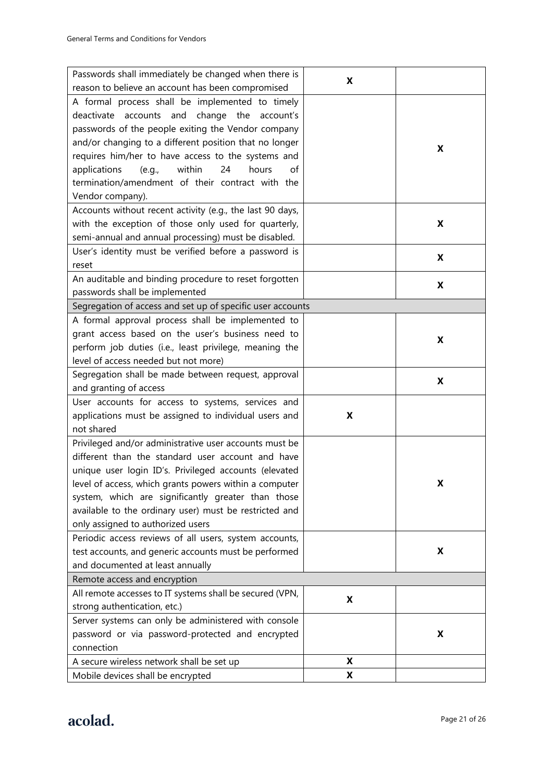| Passwords shall immediately be changed when there is       | X |   |
|------------------------------------------------------------|---|---|
| reason to believe an account has been compromised          |   |   |
| A formal process shall be implemented to timely            |   |   |
| deactivate accounts and change the<br>account's            |   |   |
| passwords of the people exiting the Vendor company         |   |   |
| and/or changing to a different position that no longer     |   | X |
| requires him/her to have access to the systems and         |   |   |
| within<br>applications<br>24<br>hours<br>of<br>(e.q.,      |   |   |
| termination/amendment of their contract with the           |   |   |
| Vendor company).                                           |   |   |
| Accounts without recent activity (e.g., the last 90 days,  |   |   |
| with the exception of those only used for quarterly,       |   | X |
| semi-annual and annual processing) must be disabled.       |   |   |
| User's identity must be verified before a password is      |   |   |
| reset                                                      |   | X |
| An auditable and binding procedure to reset forgotten      |   |   |
| passwords shall be implemented                             |   | X |
| Segregation of access and set up of specific user accounts |   |   |
| A formal approval process shall be implemented to          |   |   |
| grant access based on the user's business need to          |   | X |
| perform job duties (i.e., least privilege, meaning the     |   |   |
| level of access needed but not more)                       |   |   |
| Segregation shall be made between request, approval        |   | X |
| and granting of access                                     |   |   |
| User accounts for access to systems, services and          |   |   |
| applications must be assigned to individual users and      | X |   |
| not shared                                                 |   |   |
| Privileged and/or administrative user accounts must be     |   |   |
| different than the standard user account and have          |   |   |
| unique user login ID's. Privileged accounts (elevated      |   |   |
| level of access, which grants powers within a computer     |   | X |
| system, which are significantly greater than those         |   |   |
| available to the ordinary user) must be restricted and     |   |   |
| only assigned to authorized users                          |   |   |
| Periodic access reviews of all users, system accounts,     |   |   |
| test accounts, and generic accounts must be performed      |   | X |
| and documented at least annually                           |   |   |
| Remote access and encryption                               |   |   |
| All remote accesses to IT systems shall be secured (VPN,   | X |   |
| strong authentication, etc.)                               |   |   |
| Server systems can only be administered with console       |   |   |
| password or via password-protected and encrypted           |   | X |
| connection                                                 |   |   |
| A secure wireless network shall be set up                  | X |   |
| Mobile devices shall be encrypted                          | X |   |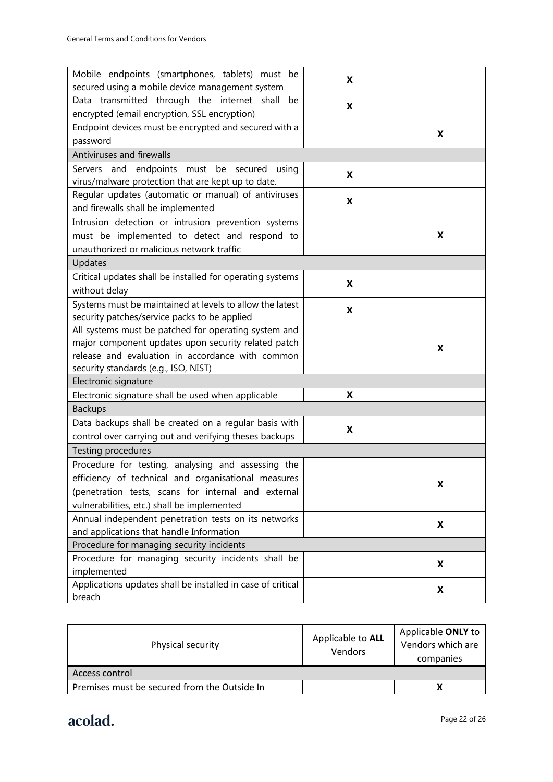| Mobile endpoints (smartphones, tablets) must be<br>secured using a mobile device management system                                                                                                              | X |   |
|-----------------------------------------------------------------------------------------------------------------------------------------------------------------------------------------------------------------|---|---|
| Data transmitted through the internet shall<br>be<br>encrypted (email encryption, SSL encryption)                                                                                                               | X |   |
| Endpoint devices must be encrypted and secured with a<br>password                                                                                                                                               |   | X |
| Antiviruses and firewalls                                                                                                                                                                                       |   |   |
| Servers and endpoints must be secured using<br>virus/malware protection that are kept up to date.                                                                                                               | X |   |
| Regular updates (automatic or manual) of antiviruses<br>and firewalls shall be implemented                                                                                                                      | X |   |
| Intrusion detection or intrusion prevention systems<br>must be implemented to detect and respond to<br>unauthorized or malicious network traffic                                                                |   | X |
| Updates                                                                                                                                                                                                         |   |   |
| Critical updates shall be installed for operating systems<br>without delay                                                                                                                                      | X |   |
| Systems must be maintained at levels to allow the latest<br>security patches/service packs to be applied                                                                                                        | X |   |
| All systems must be patched for operating system and<br>major component updates upon security related patch<br>release and evaluation in accordance with common<br>security standards (e.g., ISO, NIST)         |   | X |
| Electronic signature                                                                                                                                                                                            |   |   |
| Electronic signature shall be used when applicable                                                                                                                                                              | X |   |
| <b>Backups</b>                                                                                                                                                                                                  |   |   |
| Data backups shall be created on a regular basis with<br>control over carrying out and verifying theses backups                                                                                                 | X |   |
| Testing procedures                                                                                                                                                                                              |   |   |
| Procedure for testing, analysing and assessing the<br>efficiency of technical and organisational measures<br>(penetration tests, scans for internal and external<br>vulnerabilities, etc.) shall be implemented |   | x |
| Annual independent penetration tests on its networks<br>and applications that handle Information                                                                                                                |   | X |
| Procedure for managing security incidents                                                                                                                                                                       |   |   |
| Procedure for managing security incidents shall be<br>implemented                                                                                                                                               |   | X |
| Applications updates shall be installed in case of critical<br>breach                                                                                                                                           |   | X |

| Physical security                            | Applicable to ALL<br><b>Vendors</b> | Applicable ONLY to<br>Vendors which are<br>companies |
|----------------------------------------------|-------------------------------------|------------------------------------------------------|
| Access control                               |                                     |                                                      |
| Premises must be secured from the Outside In |                                     |                                                      |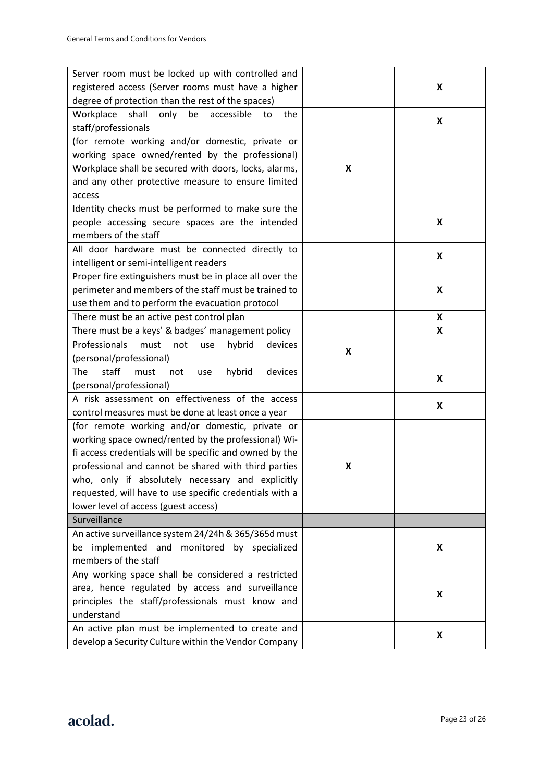| Server room must be locked up with controlled and           |   |   |
|-------------------------------------------------------------|---|---|
| registered access (Server rooms must have a higher          |   | X |
| degree of protection than the rest of the spaces)           |   |   |
| Workplace<br>shall<br>only<br>be<br>accessible<br>the<br>to |   | X |
| staff/professionals                                         |   |   |
| (for remote working and/or domestic, private or             |   |   |
| working space owned/rented by the professional)             |   |   |
| Workplace shall be secured with doors, locks, alarms,       | X |   |
| and any other protective measure to ensure limited          |   |   |
| access                                                      |   |   |
| Identity checks must be performed to make sure the          |   |   |
| people accessing secure spaces are the intended             |   | X |
| members of the staff                                        |   |   |
| All door hardware must be connected directly to             |   | X |
| intelligent or semi-intelligent readers                     |   |   |
| Proper fire extinguishers must be in place all over the     |   |   |
| perimeter and members of the staff must be trained to       |   | X |
| use them and to perform the evacuation protocol             |   |   |
| There must be an active pest control plan                   |   | X |
| There must be a keys' & badges' management policy           |   | X |
| Professionals<br>must<br>hybrid<br>devices<br>not<br>use    | X |   |
| (personal/professional)                                     |   |   |
| The<br>staff<br>hybrid<br>must<br>devices<br>not<br>use     |   | X |
| (personal/professional)                                     |   |   |
| A risk assessment on effectiveness of the access            |   | X |
| control measures must be done at least once a year          |   |   |
| (for remote working and/or domestic, private or             |   |   |
| working space owned/rented by the professional) Wi-         |   |   |
| fi access credentials will be specific and owned by the     |   |   |
| professional and cannot be shared with third parties        | X |   |
| who, only if absolutely necessary and explicitly            |   |   |
| requested, will have to use specific credentials with a     |   |   |
| lower level of access (guest access)                        |   |   |
| Surveillance                                                |   |   |
| An active surveillance system 24/24h & 365/365d must        |   |   |
| be implemented and monitored by specialized                 |   | X |
| members of the staff                                        |   |   |
| Any working space shall be considered a restricted          |   |   |
| area, hence regulated by access and surveillance            |   | X |
| principles the staff/professionals must know and            |   |   |
| understand                                                  |   |   |
| An active plan must be implemented to create and            |   | X |
| develop a Security Culture within the Vendor Company        |   |   |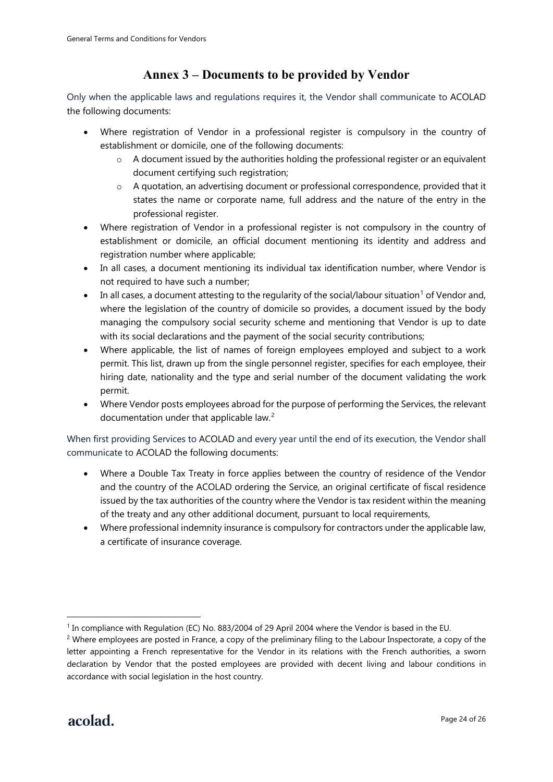# **Annex 3 – Documents to be provided by Vendor**

Only when the applicable laws and regulations requires it, the Vendor shall communicate to ACOLAD the following documents:

- Where registration of Vendor in a professional register is compulsory in the country of establishment or domicile, one of the following documents:
	- $\circ$  A document issued by the authorities holding the professional register or an equivalent document certifying such registration;
	- $\circ$  A quotation, an advertising document or professional correspondence, provided that it states the name or corporate name, full address and the nature of the entry in the professional register.
- Where registration of Vendor in a professional register is not compulsory in the country of establishment or domicile, an official document mentioning its identity and address and registration number where applicable;
- In all cases, a document mentioning its individual tax identification number, where Vendor is not required to have such a number;
- In all cases, a document attesting to the regularity of the social/labour situation<sup>[1](#page-23-0)</sup> of Vendor and, where the legislation of the country of domicile so provides, a document issued by the body managing the compulsory social security scheme and mentioning that Vendor is up to date with its social declarations and the payment of the social security contributions;
- Where applicable, the list of names of foreign employees employed and subject to a work permit. This list, drawn up from the single personnel register, specifies for each employee, their hiring date, nationality and the type and serial number of the document validating the work permit.
- Where Vendor posts employees abroad for the purpose of performing the Services, the relevant documentation under that applicable law.<sup>[2](#page-23-1)</sup>

When first providing Services to ACOLAD and every year until the end of its execution, the Vendor shall communicate to ACOLAD the following documents:

- Where a Double Tax Treaty in force applies between the country of residence of the Vendor and the country of the ACOLAD ordering the Service, an original certificate of fiscal residence issued by the tax authorities of the country where the Vendor is tax resident within the meaning of the treaty and any other additional document, pursuant to local requirements,
- Where professional indemnity insurance is compulsory for contractors under the applicable law, a certificate of insurance coverage.

<span id="page-23-0"></span><sup>1</sup> In compliance with Regulation (EC) No. 883/2004 of 29 April 2004 where the Vendor is based in the EU.

<span id="page-23-1"></span><sup>&</sup>lt;sup>2</sup> Where employees are posted in France, a copy of the preliminary filing to the Labour Inspectorate, a copy of the letter appointing a French representative for the Vendor in its relations with the French authorities, a sworn declaration by Vendor that the posted employees are provided with decent living and labour conditions in accordance with social legislation in the host country.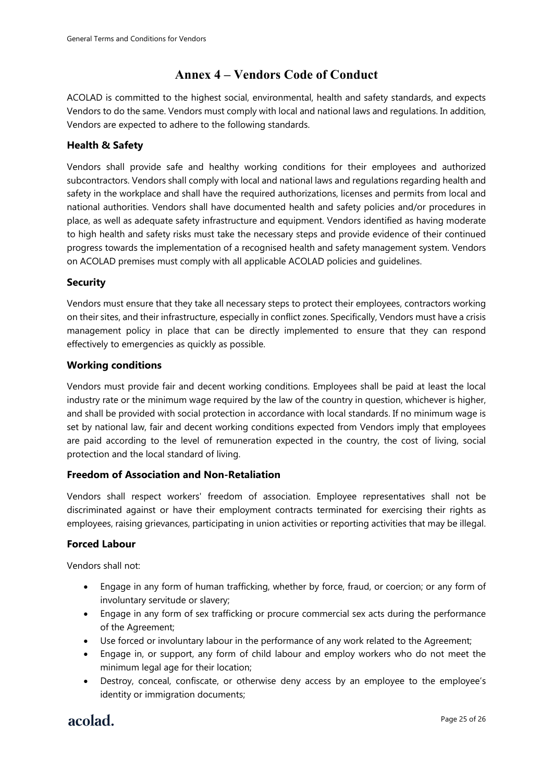# **Annex 4 – Vendors Code of Conduct**

ACOLAD is committed to the highest social, environmental, health and safety standards, and expects Vendors to do the same. Vendors must comply with local and national laws and regulations. In addition, Vendors are expected to adhere to the following standards.

# **Health & Safety**

Vendors shall provide safe and healthy working conditions for their employees and authorized subcontractors. Vendors shall comply with local and national laws and regulations regarding health and safety in the workplace and shall have the required authorizations, licenses and permits from local and national authorities. Vendors shall have documented health and safety policies and/or procedures in place, as well as adequate safety infrastructure and equipment. Vendors identified as having moderate to high health and safety risks must take the necessary steps and provide evidence of their continued progress towards the implementation of a recognised health and safety management system. Vendors on ACOLAD premises must comply with all applicable ACOLAD policies and guidelines.

# **Security**

Vendors must ensure that they take all necessary steps to protect their employees, contractors working on their sites, and their infrastructure, especially in conflict zones. Specifically, Vendors must have a crisis management policy in place that can be directly implemented to ensure that they can respond effectively to emergencies as quickly as possible.

# **Working conditions**

Vendors must provide fair and decent working conditions. Employees shall be paid at least the local industry rate or the minimum wage required by the law of the country in question, whichever is higher, and shall be provided with social protection in accordance with local standards. If no minimum wage is set by national law, fair and decent working conditions expected from Vendors imply that employees are paid according to the level of remuneration expected in the country, the cost of living, social protection and the local standard of living.

# **Freedom of Association and Non-Retaliation**

Vendors shall respect workers' freedom of association. Employee representatives shall not be discriminated against or have their employment contracts terminated for exercising their rights as employees, raising grievances, participating in union activities or reporting activities that may be illegal.

### **Forced Labour**

Vendors shall not:

- Engage in any form of human trafficking, whether by force, fraud, or coercion; or any form of involuntary servitude or slavery;
- Engage in any form of sex trafficking or procure commercial sex acts during the performance of the Agreement;
- Use forced or involuntary labour in the performance of any work related to the Agreement;
- Engage in, or support, any form of child labour and employ workers who do not meet the minimum legal age for their location;
- Destroy, conceal, confiscate, or otherwise deny access by an employee to the employee's identity or immigration documents;